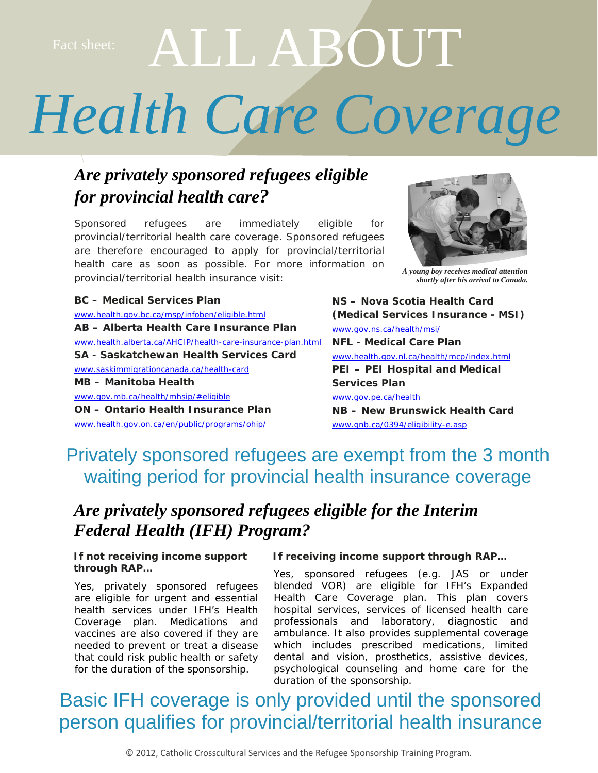# ct sheet: ALL ABOUT

## *Health Care Coverage*

### *Are privately sponsored refugees eligible for provincial health care?*

Sponsored refugees are immediately eligible for provincial/territorial health care coverage. Sponsored refugees are therefore encouraged to apply for provincial/territorial health care as soon as possible. For more information on provincial/territorial health insurance visit:

**BC – Medical Services Plan**  [www.health.gov.bc.ca/msp/infoben/eligible.html](http://www.health.gov.bc.ca/msp/infoben/eligible.html) **AB – Alberta Health Care Insurance Plan**  [www.health.alberta.ca/AHCIP/health-care-insurance-plan.html](http://www.health.alberta.ca/AHCIP/health-care-insurance-plan.html) **SA - Saskatchewan Health Services Card**  [www.saskimmigrationcanada.ca/health-card](http://www.saskimmigrationcanada.ca/health-card) **MB – Manitoba Health**  [www.gov.mb.ca/health/mhsip/#eligible](http://www.gov.mb.ca/health/mhsip/#eligible)  **ON – Ontario Health Insurance Plan**  [www.health.gov.on.ca/en/public/programs/ohip/](http://www.health.gov.on.ca/en/public/programs/ohip/) 



*A young boy receives medical attention shortly after his arrival to Canada.* 

**(Medical Services Insurance - MSI)**  [www.gov.ns.ca/health/msi/](http://www.gov.ns.ca/health/msi/) **NFL - Medical Care Plan**  [www.health.gov.nl.ca/health/mcp/index.html](http://www.health.gov.nl.ca/health/mcp/index.html)  **PEI – PEI Hospital and Medical Services Plan**  [www.gov.pe.ca/health](http://www.gov.pe.ca/health) **NB – New Brunswick Health Card**  [www.gnb.ca/0394/eligibility-e.asp](http://www.gnb.ca/0394/eligibility-e.asp)

**NS – Nova Scotia Health Card** 

Privately sponsored refugees are exempt from the 3 month waiting period for provincial health insurance coverage

### *Are privately sponsored refugees eligible for the Interim Federal Health (IFH) Program?*

Yes, privately sponsored refugees are eligible for urgent and essential health services under IFH's Health Coverage plan. Medications and vaccines are also covered if they are needed to prevent or treat a disease that could risk public health or safety for the duration of the sponsorship.

#### If not receiving income support If receiving income support through RAP...

**through RAP…** Yes, sponsored refugees (e.g. JAS or under blended VOR) are eligible for IFH's Expanded Health Care Coverage plan. This plan covers hospital services, services of licensed health care professionals and laboratory, diagnostic and ambulance. It also provides supplemental coverage which includes prescribed medications, limited dental and vision, prosthetics, assistive devices, psychological counseling and home care for the duration of the sponsorship.

## Basic IFH coverage is only provided until the sponsored person qualifies for provincial/territorial health insurance